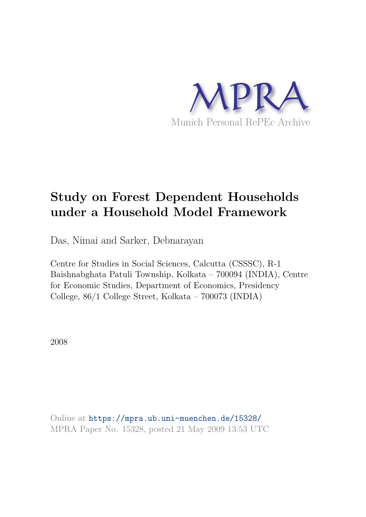

# **Study on Forest Dependent Households under a Household Model Framework**

Das, Nimai and Sarker, Debnarayan

Centre for Studies in Social Sciences, Calcutta (CSSSC), R-1 Baishnabghata Patuli Township, Kolkata – 700094 (INDIA), Centre for Economic Studies, Department of Economics, Presidency College, 86/1 College Street, Kolkata – 700073 (INDIA)

2008

Online at https://mpra.ub.uni-muenchen.de/15328/ MPRA Paper No. 15328, posted 21 May 2009 13:53 UTC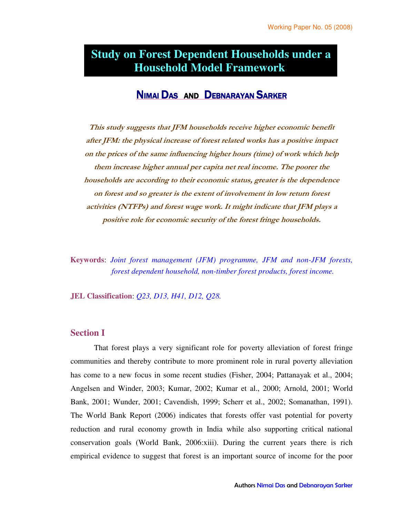## **Household Model Framework Study on Forest Dependent Households under a**

### NIMAI DAS AND DEBNARAYAN SARKER

This study suggests that JFM households receive higher economic benefit after JFM: the physical increase of forest related works has a positive impact on the prices of the same influencing higher hours (time) of work which help them increase higher annual per capita net real income. The poorer the households are according to their economic status, greater is the dependence on forest and so greater is the extent of involvement in low return forest activities (NTFPs) and forest wage work. It might indicate that JFM plays a positive role for economic security of the forest fringe households.

**Keywords**: *Joint forest management (JFM) programme, JFM and non-JFM forests, forest dependent household, non-timber forest products, forest income.*

**JEL Classification**: *Q23, D13, H41, D12, Q28.*

#### **Section I**

That forest plays a very significant role for poverty alleviation of forest fringe communities and thereby contribute to more prominent role in rural poverty alleviation has come to a new focus in some recent studies (Fisher, 2004; Pattanayak et al., 2004; Angelsen and Winder, 2003; Kumar, 2002; Kumar et al., 2000; Arnold, 2001; World Bank, 2001; Wunder, 2001; Cavendish, 1999; Scherr et al., 2002; Somanathan, 1991). The World Bank Report (2006) indicates that forests offer vast potential for poverty reduction and rural economy growth in India while also supporting critical national conservation goals (World Bank, 2006:xiii). During the current years there is rich empirical evidence to suggest that forest is an important source of income for the poor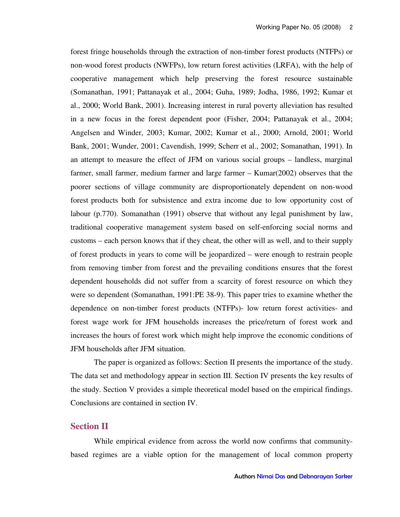forest fringe households through the extraction of non-timber forest products (NTFPs) or non-wood forest products (NWFPs), low return forest activities (LRFA), with the help of cooperative management which help preserving the forest resource sustainable (Somanathan, 1991; Pattanayak et al., 2004; Guha, 1989; Jodha, 1986, 1992; Kumar et al., 2000; World Bank, 2001). Increasing interest in rural poverty alleviation has resulted in a new focus in the forest dependent poor (Fisher, 2004; Pattanayak et al., 2004; Angelsen and Winder, 2003; Kumar, 2002; Kumar et al., 2000; Arnold, 2001; World Bank, 2001; Wunder, 2001; Cavendish, 1999; Scherr et al., 2002; Somanathan, 1991). In an attempt to measure the effect of JFM on various social groups – landless, marginal farmer, small farmer, medium farmer and large farmer – Kumar(2002) observes that the poorer sections of village community are disproportionately dependent on non-wood forest products both for subsistence and extra income due to low opportunity cost of labour (p.770). Somanathan (1991) observe that without any legal punishment by law, traditional cooperative management system based on self-enforcing social norms and customs – each person knows that if they cheat, the other will as well, and to their supply of forest products in years to come will be jeopardized – were enough to restrain people from removing timber from forest and the prevailing conditions ensures that the forest dependent households did not suffer from a scarcity of forest resource on which they were so dependent (Somanathan, 1991:PE 38-9). This paper tries to examine whether the dependence on non-timber forest products (NTFPs)- low return forest activities- and forest wage work for JFM households increases the price/return of forest work and increases the hours of forest work which might help improve the economic conditions of JFM households after JFM situation.

The paper is organized as follows: Section II presents the importance of the study. The data set and methodology appear in section III. Section IV presents the key results of the study. Section V provides a simple theoretical model based on the empirical findings. Conclusions are contained in section IV.

#### **Section II**

While empirical evidence from across the world now confirms that communitybased regimes are a viable option for the management of local common property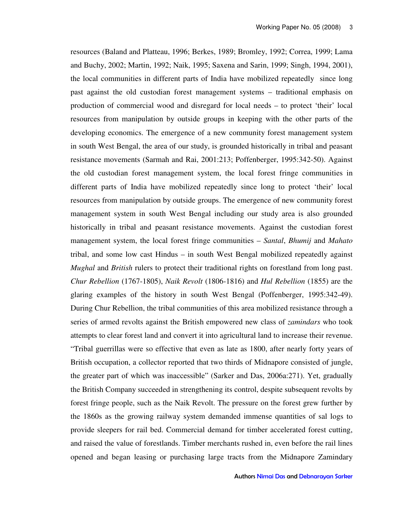resources (Baland and Platteau, 1996; Berkes, 1989; Bromley, 1992; Correa, 1999; Lama and Buchy, 2002; Martin, 1992; Naik, 1995; Saxena and Sarin, 1999; Singh, 1994, 2001), the local communities in different parts of India have mobilized repeatedly since long past against the old custodian forest management systems – traditional emphasis on production of commercial wood and disregard for local needs – to protect 'their' local resources from manipulation by outside groups in keeping with the other parts of the developing economics. The emergence of a new community forest management system in south West Bengal, the area of our study, is grounded historically in tribal and peasant resistance movements (Sarmah and Rai, 2001:213; Poffenberger, 1995:342-50). Against the old custodian forest management system, the local forest fringe communities in different parts of India have mobilized repeatedly since long to protect 'their' local resources from manipulation by outside groups. The emergence of new community forest management system in south West Bengal including our study area is also grounded historically in tribal and peasant resistance movements. Against the custodian forest management system, the local forest fringe communities – *Santal*, *Bhumij* and *Mahato* tribal, and some low cast Hindus – in south West Bengal mobilized repeatedly against *Mughal* and *British* rulers to protect their traditional rights on forestland from long past. *Chur Rebellion* (1767-1805), *Naik Revolt* (1806-1816) and *Hul Rebellion* (1855) are the glaring examples of the history in south West Bengal (Poffenberger, 1995:342-49). During Chur Rebellion, the tribal communities of this area mobilized resistance through a series of armed revolts against the British empowered new class of *zamindars* who took attempts to clear forest land and convert it into agricultural land to increase their revenue. "Tribal guerrillas were so effective that even as late as 1800, after nearly forty years of British occupation, a collector reported that two thirds of Midnapore consisted of jungle, the greater part of which was inaccessible" (Sarker and Das, 2006a:271). Yet, gradually the British Company succeeded in strengthening its control, despite subsequent revolts by forest fringe people, such as the Naik Revolt. The pressure on the forest grew further by the 1860s as the growing railway system demanded immense quantities of sal logs to provide sleepers for rail bed. Commercial demand for timber accelerated forest cutting, and raised the value of forestlands. Timber merchants rushed in, even before the rail lines opened and began leasing or purchasing large tracts from the Midnapore Zamindary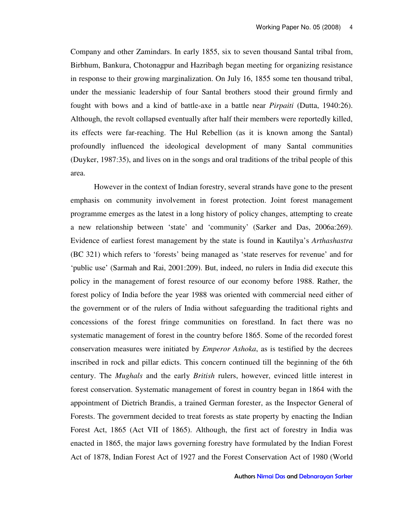Company and other Zamindars. In early 1855, six to seven thousand Santal tribal from, Birbhum, Bankura, Chotonagpur and Hazribagh began meeting for organizing resistance in response to their growing marginalization. On July 16, 1855 some ten thousand tribal, under the messianic leadership of four Santal brothers stood their ground firmly and fought with bows and a kind of battle-axe in a battle near *Pirpaiti* (Dutta, 1940:26). Although, the revolt collapsed eventually after half their members were reportedly killed, its effects were far-reaching. The Hul Rebellion (as it is known among the Santal) profoundly influenced the ideological development of many Santal communities (Duyker, 1987:35), and lives on in the songs and oral traditions of the tribal people of this area.

However in the context of Indian forestry, several strands have gone to the present emphasis on community involvement in forest protection. Joint forest management programme emerges as the latest in a long history of policy changes, attempting to create a new relationship between 'state' and 'community' (Sarker and Das, 2006a:269). Evidence of earliest forest management by the state is found in Kautilya's *Arthashastra* (BC 321) which refers to 'forests' being managed as 'state reserves for revenue' and for 'public use' (Sarmah and Rai, 2001:209). But, indeed, no rulers in India did execute this policy in the management of forest resource of our economy before 1988. Rather, the forest policy of India before the year 1988 was oriented with commercial need either of the government or of the rulers of India without safeguarding the traditional rights and concessions of the forest fringe communities on forestland. In fact there was no systematic management of forest in the country before 1865. Some of the recorded forest conservation measures were initiated by *Emperor Ashoka*, as is testified by the decrees inscribed in rock and pillar edicts. This concern continued till the beginning of the 6th century. The *Mughals* and the early *British* rulers, however, evinced little interest in forest conservation. Systematic management of forest in country began in 1864 with the appointment of Dietrich Brandis, a trained German forester, as the Inspector General of Forests. The government decided to treat forests as state property by enacting the Indian Forest Act, 1865 (Act VII of 1865). Although, the first act of forestry in India was enacted in 1865, the major laws governing forestry have formulated by the Indian Forest Act of 1878, Indian Forest Act of 1927 and the Forest Conservation Act of 1980 (World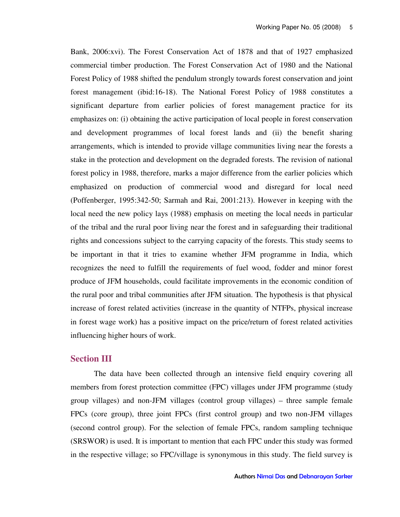Bank, 2006:xvi). The Forest Conservation Act of 1878 and that of 1927 emphasized commercial timber production. The Forest Conservation Act of 1980 and the National Forest Policy of 1988 shifted the pendulum strongly towards forest conservation and joint forest management (ibid:16-18). The National Forest Policy of 1988 constitutes a significant departure from earlier policies of forest management practice for its emphasizes on: (i) obtaining the active participation of local people in forest conservation and development programmes of local forest lands and (ii) the benefit sharing arrangements, which is intended to provide village communities living near the forests a stake in the protection and development on the degraded forests. The revision of national forest policy in 1988, therefore, marks a major difference from the earlier policies which emphasized on production of commercial wood and disregard for local need (Poffenberger, 1995:342-50; Sarmah and Rai, 2001:213). However in keeping with the local need the new policy lays (1988) emphasis on meeting the local needs in particular of the tribal and the rural poor living near the forest and in safeguarding their traditional rights and concessions subject to the carrying capacity of the forests. This study seems to be important in that it tries to examine whether JFM programme in India, which recognizes the need to fulfill the requirements of fuel wood, fodder and minor forest produce of JFM households, could facilitate improvements in the economic condition of the rural poor and tribal communities after JFM situation. The hypothesis is that physical increase of forest related activities (increase in the quantity of NTFPs, physical increase in forest wage work) has a positive impact on the price/return of forest related activities influencing higher hours of work.

#### **Section III**

The data have been collected through an intensive field enquiry covering all members from forest protection committee (FPC) villages under JFM programme (study group villages) and non-JFM villages (control group villages) – three sample female FPCs (core group), three joint FPCs (first control group) and two non-JFM villages (second control group). For the selection of female FPCs, random sampling technique (SRSWOR) is used. It is important to mention that each FPC under this study was formed in the respective village; so FPC/village is synonymous in this study. The field survey is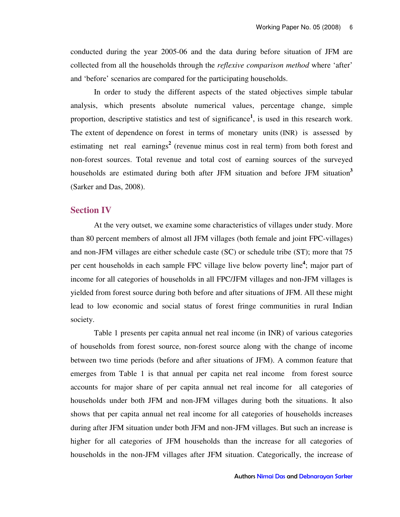conducted during the year 2005-06 and the data during before situation of JFM are collected from all the households through the *reflexive comparison method* where 'after' and 'before' scenarios are compared for the participating households.

In order to study the different aspects of the stated objectives simple tabular analysis, which presents absolute numerical values, percentage change, simple proportion, descriptive statistics and test of significance**<sup>1</sup>** , is used in this research work. The extent of dependence on forest in terms of monetary units (INR) is assessed by estimating net real earnings**<sup>2</sup>** (revenue minus cost in real term) from both forest and non-forest sources. Total revenue and total cost of earning sources of the surveyed households are estimated during both after JFM situation and before JFM situation**<sup>3</sup>** (Sarker and Das, 2008).

#### **Section IV**

At the very outset, we examine some characteristics of villages under study. More than 80 percent members of almost all JFM villages (both female and joint FPC-villages) and non-JFM villages are either schedule caste (SC) or schedule tribe (ST); more that 75 per cent households in each sample FPC village live below poverty line**<sup>4</sup>** ; major part of income for all categories of households in all FPC/JFM villages and non-JFM villages is yielded from forest source during both before and after situations of JFM. All these might lead to low economic and social status of forest fringe communities in rural Indian society.

Table 1 presents per capita annual net real income (in INR) of various categories of households from forest source, non-forest source along with the change of income between two time periods (before and after situations of JFM). A common feature that emerges from Table 1 is that annual per capita net real income from forest source accounts for major share of per capita annual net real income for all categories of households under both JFM and non-JFM villages during both the situations. It also shows that per capita annual net real income for all categories of households increases during after JFM situation under both JFM and non-JFM villages. But such an increase is higher for all categories of JFM households than the increase for all categories of households in the non-JFM villages after JFM situation. Categorically, the increase of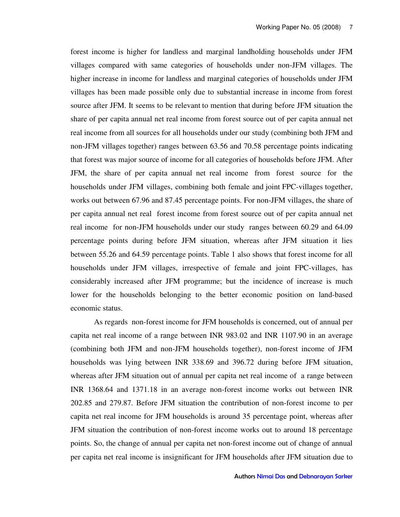forest income is higher for landless and marginal landholding households under JFM villages compared with same categories of households under non-JFM villages. The higher increase in income for landless and marginal categories of households under JFM villages has been made possible only due to substantial increase in income from forest source after JFM. It seems to be relevant to mention that during before JFM situation the share of per capita annual net real income from forest source out of per capita annual net real income from all sources for all households under our study (combining both JFM and non-JFM villages together) ranges between 63.56 and 70.58 percentage points indicating that forest was major source of income for all categories of households before JFM. After JFM, the share of per capita annual net real income from forest source for the households under JFM villages, combining both female and joint FPC-villages together, works out between 67.96 and 87.45 percentage points. For non-JFM villages, the share of per capita annual net real forest income from forest source out of per capita annual net real income for non-JFM households under our study ranges between 60.29 and 64.09 percentage points during before JFM situation, whereas after JFM situation it lies between 55.26 and 64.59 percentage points. Table 1 also shows that forest income for all households under JFM villages, irrespective of female and joint FPC-villages, has considerably increased after JFM programme; but the incidence of increase is much lower for the households belonging to the better economic position on land-based economic status.

As regards non-forest income for JFM households is concerned, out of annual per capita net real income of a range between INR 983.02 and INR 1107.90 in an average (combining both JFM and non-JFM households together), non-forest income of JFM households was lying between INR 338.69 and 396.72 during before JFM situation, whereas after JFM situation out of annual per capita net real income of a range between INR 1368.64 and 1371.18 in an average non-forest income works out between INR 202.85 and 279.87. Before JFM situation the contribution of non-forest income to per capita net real income for JFM households is around 35 percentage point, whereas after JFM situation the contribution of non-forest income works out to around 18 percentage points. So, the change of annual per capita net non-forest income out of change of annual per capita net real income is insignificant for JFM households after JFM situation due to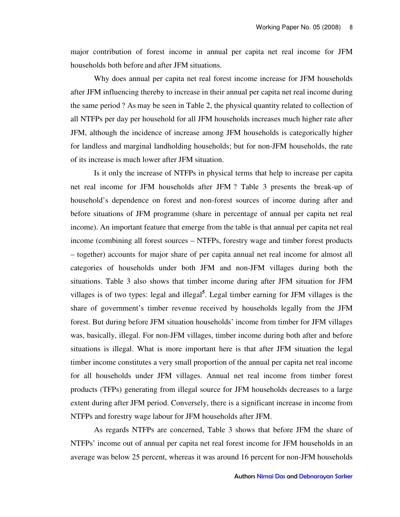major contribution of forest income in annual per capita net real income for JFM households both before and after JFM situations.

Why does annual per capita net real forest income increase for JFM households after JFM influencing thereby to increase in their annual per capita net real income during the same period ? As may be seen in Table 2, the physical quantity related to collection of all NTFPs per day per household for all JFM households increases much higher rate after JFM, although the incidence of increase among JFM households is categorically higher for landless and marginal landholding households; but for non-JFM households, the rate of its increase is much lower after JFM situation.

Is it only the increase of NTFPs in physical terms that help to increase per capita net real income for JFM households after JFM ? Table 3 presents the break-up of household's dependence on forest and non-forest sources of income during after and before situations of JFM programme (share in percentage of annual per capita net real income). An important feature that emerge from the table is that annual per capita net real income (combining all forest sources – NTFPs, forestry wage and timber forest products – together) accounts for major share of per capita annual net real income for almost all categories of households under both JFM and non-JFM villages during both the situations. Table 3 also shows that timber income during after JFM situation for JFM villages is of two types: legal and illegal**<sup>5</sup>** . Legal timber earning for JFM villages is the share of government's timber revenue received by households legally from the JFM forest. But during before JFM situation households' income from timber for JFM villages was, basically, illegal. For non-JFM villages, timber income during both after and before situations is illegal. What is more important here is that after JFM situation the legal timber income constitutes a very small proportion of the annual per capita net real income for all households under JFM villages. Annual net real income from timber forest products (TFPs) generating from illegal source for JFM households decreases to a large extent during after JFM period. Conversely, there is a significant increase in income from NTFPs and forestry wage labour for JFM households after JFM.

As regards NTFPs are concerned, Table 3 shows that before JFM the share of NTFPs' income out of annual per capita net real forest income for JFM households in an average was below 25 percent, whereas it was around 16 percent for non-JFM households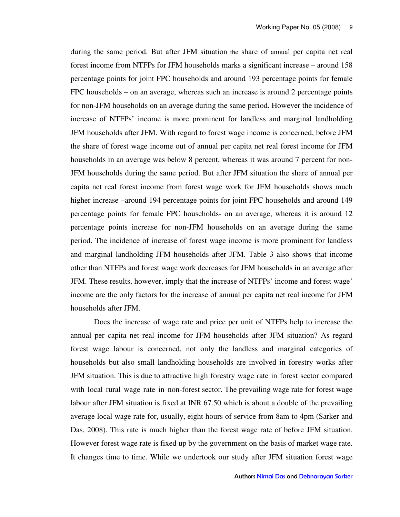during the same period. But after JFM situation the share of annual per capita net real forest income from NTFPs for JFM households marks a significant increase – around 158 percentage points for joint FPC households and around 193 percentage points for female FPC households – on an average, whereas such an increase is around 2 percentage points for non-JFM households on an average during the same period. However the incidence of increase of NTFPs' income is more prominent for landless and marginal landholding JFM households after JFM. With regard to forest wage income is concerned, before JFM the share of forest wage income out of annual per capita net real forest income for JFM households in an average was below 8 percent, whereas it was around 7 percent for non-JFM households during the same period. But after JFM situation the share of annual per capita net real forest income from forest wage work for JFM households shows much higher increase –around 194 percentage points for joint FPC households and around 149 percentage points for female FPC households- on an average, whereas it is around 12 percentage points increase for non-JFM households on an average during the same period. The incidence of increase of forest wage income is more prominent for landless and marginal landholding JFM households after JFM. Table 3 also shows that income other than NTFPs and forest wage work decreases for JFM households in an average after JFM. These results, however, imply that the increase of NTFPs' income and forest wage' income are the only factors for the increase of annual per capita net real income for JFM households after JFM.

Does the increase of wage rate and price per unit of NTFPs help to increase the annual per capita net real income for JFM households after JFM situation? As regard forest wage labour is concerned, not only the landless and marginal categories of households but also small landholding households are involved in forestry works after JFM situation. This is due to attractive high forestry wage rate in forest sector compared with local rural wage rate in non-forest sector. The prevailing wage rate for forest wage labour after JFM situation is fixed at INR 67.50 which is about a double of the prevailing average local wage rate for, usually, eight hours of service from 8am to 4pm (Sarker and Das, 2008). This rate is much higher than the forest wage rate of before JFM situation. However forest wage rate is fixed up by the government on the basis of market wage rate. It changes time to time. While we undertook our study after JFM situation forest wage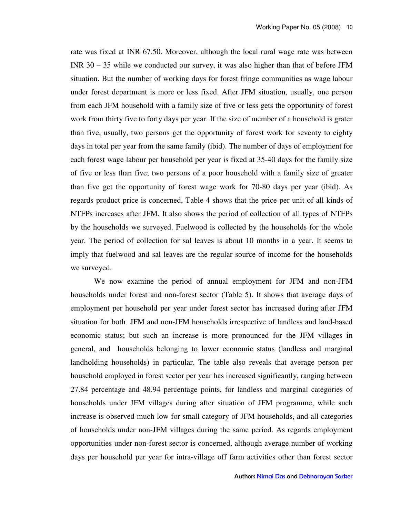rate was fixed at INR 67.50. Moreover, although the local rural wage rate was between INR 30 – 35 while we conducted our survey, it was also higher than that of before JFM situation. But the number of working days for forest fringe communities as wage labour under forest department is more or less fixed. After JFM situation, usually, one person from each JFM household with a family size of five or less gets the opportunity of forest work from thirty five to forty days per year. If the size of member of a household is grater than five, usually, two persons get the opportunity of forest work for seventy to eighty days in total per year from the same family (ibid). The number of days of employment for each forest wage labour per household per year is fixed at 35-40 days for the family size of five or less than five; two persons of a poor household with a family size of greater than five get the opportunity of forest wage work for 70-80 days per year (ibid). As regards product price is concerned, Table 4 shows that the price per unit of all kinds of NTFPs increases after JFM. It also shows the period of collection of all types of NTFPs by the households we surveyed. Fuelwood is collected by the households for the whole year. The period of collection for sal leaves is about 10 months in a year. It seems to imply that fuelwood and sal leaves are the regular source of income for the households we surveyed.

We now examine the period of annual employment for JFM and non-JFM households under forest and non-forest sector (Table 5). It shows that average days of employment per household per year under forest sector has increased during after JFM situation for both JFM and non-JFM households irrespective of landless and land-based economic status; but such an increase is more pronounced for the JFM villages in general, and households belonging to lower economic status (landless and marginal landholding households) in particular. The table also reveals that average person per household employed in forest sector per year has increased significantly, ranging between 27.84 percentage and 48.94 percentage points, for landless and marginal categories of households under JFM villages during after situation of JFM programme, while such increase is observed much low for small category of JFM households, and all categories of households under non-JFM villages during the same period. As regards employment opportunities under non-forest sector is concerned, although average number of working days per household per year for intra-village off farm activities other than forest sector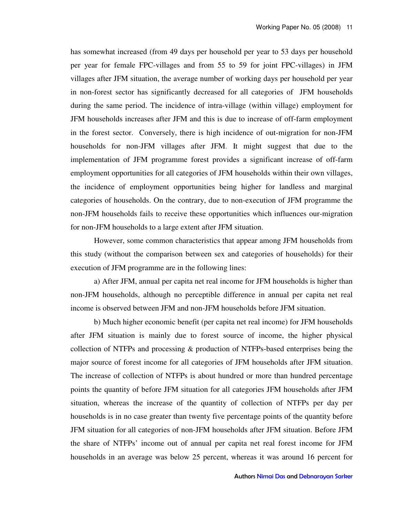has somewhat increased (from 49 days per household per year to 53 days per household per year for female FPC-villages and from 55 to 59 for joint FPC-villages) in JFM villages after JFM situation, the average number of working days per household per year in non-forest sector has significantly decreased for all categories of JFM households during the same period. The incidence of intra-village (within village) employment for JFM households increases after JFM and this is due to increase of off-farm employment in the forest sector. Conversely, there is high incidence of out-migration for non-JFM households for non-JFM villages after JFM. It might suggest that due to the implementation of JFM programme forest provides a significant increase of off-farm employment opportunities for all categories of JFM households within their own villages, the incidence of employment opportunities being higher for landless and marginal categories of households. On the contrary, due to non-execution of JFM programme the non-JFM households fails to receive these opportunities which influences our-migration for non-JFM households to a large extent after JFM situation.

However, some common characteristics that appear among JFM households from this study (without the comparison between sex and categories of households) for their execution of JFM programme are in the following lines:

a) After JFM, annual per capita net real income for JFM households is higher than non-JFM households, although no perceptible difference in annual per capita net real income is observed between JFM and non-JFM households before JFM situation.

b) Much higher economic benefit (per capita net real income) for JFM households after JFM situation is mainly due to forest source of income, the higher physical collection of NTFPs and processing & production of NTFPs-based enterprises being the major source of forest income for all categories of JFM households after JFM situation. The increase of collection of NTFPs is about hundred or more than hundred percentage points the quantity of before JFM situation for all categories JFM households after JFM situation, whereas the increase of the quantity of collection of NTFPs per day per households is in no case greater than twenty five percentage points of the quantity before JFM situation for all categories of non-JFM households after JFM situation. Before JFM the share of NTFPs' income out of annual per capita net real forest income for JFM households in an average was below 25 percent, whereas it was around 16 percent for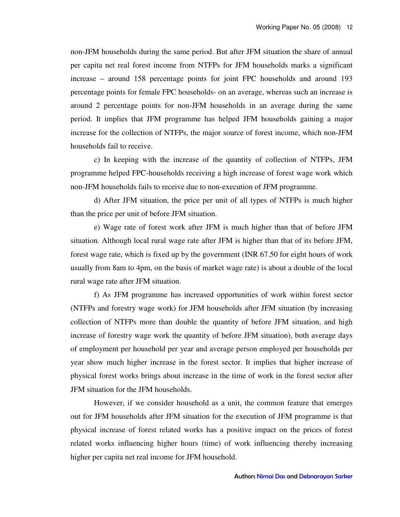non-JFM households during the same period. But after JFM situation the share of annual per capita net real forest income from NTFPs for JFM households marks a significant increase – around 158 percentage points for joint FPC households and around 193 percentage points for female FPC households- on an average, whereas such an increase is around 2 percentage points for non-JFM households in an average during the same period. It implies that JFM programme has helped JFM households gaining a major increase for the collection of NTFPs, the major source of forest income, which non-JFM households fail to receive.

c) In keeping with the increase of the quantity of collection of NTFPs, JFM programme helped FPC-households receiving a high increase of forest wage work which non-JFM households fails to receive due to non-execution of JFM programme.

d) After JFM situation, the price per unit of all types of NTFPs is much higher than the price per unit of before JFM situation.

e) Wage rate of forest work after JFM is much higher than that of before JFM situation. Although local rural wage rate after JFM is higher than that of its before JFM, forest wage rate, which is fixed up by the government (INR 67.50 for eight hours of work usually from 8am to 4pm, on the basis of market wage rate) is about a double of the local rural wage rate after JFM situation.

f) As JFM programme has increased opportunities of work within forest sector (NTFPs and forestry wage work) for JFM households after JFM situation (by increasing collection of NTFPs more than double the quantity of before JFM situation, and high increase of forestry wage work the quantity of before JFM situation), both average days of employment per household per year and average person employed per households per year show much higher increase in the forest sector. It implies that higher increase of physical forest works brings about increase in the time of work in the forest sector after JFM situation for the JFM households.

However, if we consider household as a unit, the common feature that emerges out for JFM households after JFM situation for the execution of JFM programme is that physical increase of forest related works has a positive impact on the prices of forest related works influencing higher hours (time) of work influencing thereby increasing higher per capita net real income for JFM household.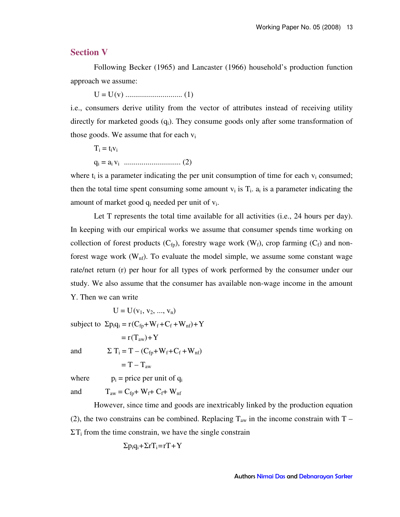#### **Section V**

Following Becker (1965) and Lancaster (1966) household's production function approach we assume:

U = U(v) ............................. (1)

i.e., consumers derive utility from the vector of attributes instead of receiving utility directly for marketed goods  $(q_i)$ . They consume goods only after some transformation of those goods. We assume that for each  $v_i$ 

$$
T_i = t_i v_i
$$
  
 
$$
q_i = a_i v_i
$$
 ....... (2)

where  $t_i$  is a parameter indicating the per unit consumption of time for each  $v_i$  consumed; then the total time spent consuming some amount  $v_i$  is  $T_i$ .  $a_i$  is a parameter indicating the amount of market good  $q_i$  needed per unit of  $v_i$ .

Let T represents the total time available for all activities (i.e., 24 hours per day). In keeping with our empirical works we assume that consumer spends time working on collection of forest products  $(C_{fp})$ , forestry wage work  $(W_f)$ , crop farming  $(C_f)$  and nonforest wage work  $(W_{nf})$ . To evaluate the model simple, we assume some constant wage rate/net return (r) per hour for all types of work performed by the consumer under our study. We also assume that the consumer has available non-wage income in the amount Y. Then we can write

 $U = U(v_1, v_2, ..., v_n)$ 

 $\pi$   $\pi$   $\rightarrow$   $\mathbf{v}$ 

subject to  $\Sigma p_i q_i = r(C_{fp} + W_f + C_f + W_{nf}) + Y$ 

and

$$
= \Gamma(1_{\text{aw}}) + 1
$$
  

$$
\Sigma T_i = T - (C_{\text{fp}} + W_{\text{f}} + C_{\text{f}} + W_{\text{nf}})
$$
  

$$
= T - T_{\text{aw}}
$$

 $p_i$  = price per unit of  $q_i$ 

where

and  $T_{aw} = C_{fn} + W_f + C_f + W_{nf}$ 

However, since time and goods are inextricably linked by the production equation (2), the two constrains can be combined. Replacing  $T_{aw}$  in the income constrain with T –  $\Sigma T_i$  from the time constrain, we have the single constrain

$$
\Sigma p_i q_i + \Sigma r T_i = rT + Y
$$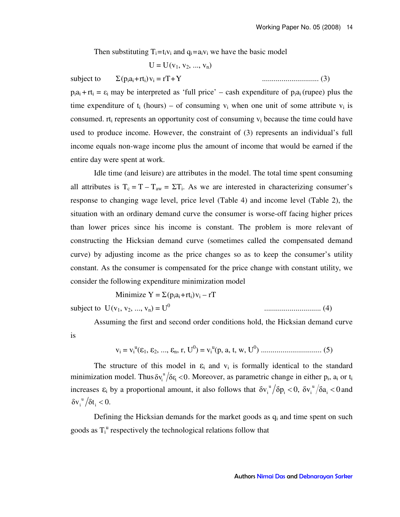Then substituting  $T_i = t_i v_i$  and  $q_i = a_i v_i$  we have the basic model

 $U = U(v_1, v_2, ..., v_n)$ 

subject to  $\Sigma(p_i a_i + r t_i) v_i = rT + Y$  = rT+Y ............................. (3)  $p_i a_i + r t_i = \varepsilon_i$  may be interpreted as 'full price' – cash expenditure of  $p_i a_i$  (rupee) plus the time expenditure of  $t_i$  (hours) – of consuming  $v_i$  when one unit of some attribute  $v_i$  is consumed.  $rt_i$  represents an opportunity cost of consuming  $v_i$  because the time could have used to produce income. However, the constraint of (3) represents an individual's full income equals non-wage income plus the amount of income that would be earned if the entire day were spent at work.

Idle time (and leisure) are attributes in the model. The total time spent consuming all attributes is  $T_c = T - T_{aw} = \Sigma T_i$ . As we are interested in characterizing consumer's response to changing wage level, price level (Table 4) and income level (Table 2), the situation with an ordinary demand curve the consumer is worse-off facing higher prices than lower prices since his income is constant. The problem is more relevant of constructing the Hicksian demand curve (sometimes called the compensated demand curve) by adjusting income as the price changes so as to keep the consumer's utility constant. As the consumer is compensated for the price change with constant utility, we consider the following expenditure minimization model

Minimize  $Y = \sum (p_i a_i + rt_i) v_i - rT$ subject to  $U(v_1, v_2, ..., v_n) = U^0$ ............................. (4)

Assuming the first and second order conditions hold, the Hicksian demand curve is

v<sup>i</sup> = v<sup>i</sup> u (ε1, ε2, ..., εn, r, U<sup>0</sup> ) = v<sup>i</sup> u (p, a, t, w, U<sup>0</sup> ) ............................... (5)

The structure of this model in  $\varepsilon_i$  and  $v_i$  is formally identical to the standard minimization model. Thus  $\delta v_i^u / \delta \epsilon_i < 0$ . Moreover, as parametric change in either  $p_i$ ,  $a_i$  or  $t_i$ increases  $\varepsilon_i$  by a proportional amount, it also follows that  $\delta v_i^{\mu}/\delta p_i < 0$ ,  $\delta v_i^{\mu}/\delta a_i < 0$  $i \sim v$ ,  $\mathbf{v}_i$  $\int_{i}^{u}$  / $\delta p_i$  < 0,  $\delta v_i^{u}$  / $\delta a_i$  < 0 and  $\delta v_i^{\mu} / \delta t_i < 0.$ 

Defining the Hicksian demands for the market goods as  $q_i$  and time spent on such goods as  $T_i^u$  respectively the technological relations follow that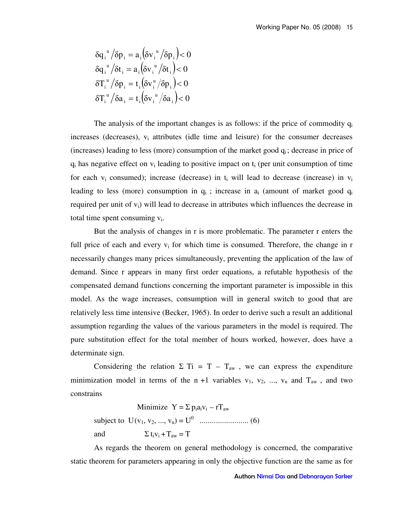$$
\delta q_i^{\nu} / \delta p_i = a_i \left( \delta v_i^{\nu} / \delta p_i \right) < 0
$$
  
\n
$$
\delta q_i^{\nu} / \delta t_i = a_i \left( \delta v_i^{\nu} / \delta t_i \right) < 0
$$
  
\n
$$
\delta T_i^{\nu} / \delta p_i = t_i \left( \delta v_i^{\nu} / \delta p_i \right) < 0
$$
  
\n
$$
\delta T_i^{\nu} / \delta a_i = t_i \left( \delta v_i^{\nu} / \delta a_i \right) < 0
$$

The analysis of the important changes is as follows: if the price of commodity  $q_i$ increases (decreases),  $v_i$  attributes (idle time and leisure) for the consumer decreases (increases) leading to less (more) consumption of the market good  $q_i$ ; decrease in price of  $q_i$  has negative effect on  $v_i$  leading to positive impact on  $t_i$  (per unit consumption of time for each  $v_i$  consumed); increase (decrease) in  $t_i$  will lead to decrease (increase) in  $v_i$ leading to less (more) consumption in  $q_i$ ; increase in  $a_i$  (amount of market good  $q_i$ required per unit of  $v_i$ ) will lead to decrease in attributes which influences the decrease in total time spent consuming  $v_i$ .

But the analysis of changes in r is more problematic. The parameter r enters the full price of each and every  $v_i$  for which time is consumed. Therefore, the change in r necessarily changes many prices simultaneously, preventing the application of the law of demand. Since r appears in many first order equations, a refutable hypothesis of the compensated demand functions concerning the important parameter is impossible in this model. As the wage increases, consumption will in general switch to good that are relatively less time intensive (Becker, 1965). In order to derive such a result an additional assumption regarding the values of the various parameters in the model is required. The pure substitution effect for the total member of hours worked, however, does have a determinate sign.

Considering the relation  $\Sigma$  Ti = T – T<sub>aw</sub>, we can express the expenditure minimization model in terms of the n +1 variables  $v_1$ ,  $v_2$ , ...,  $v_n$  and  $T_{aw}$ , and two constrains

Minimize  $Y = \sum p_i a_i v_i - rT_{aw}$ subject to U(v1, v2, ..., vn) = U<sup>0</sup> ......................... (6) and  $\Sigma t_i v_i + T_{aw} = T$ 

As regards the theorem on general methodology is concerned, the comparative static theorem for parameters appearing in only the objective function are the same as for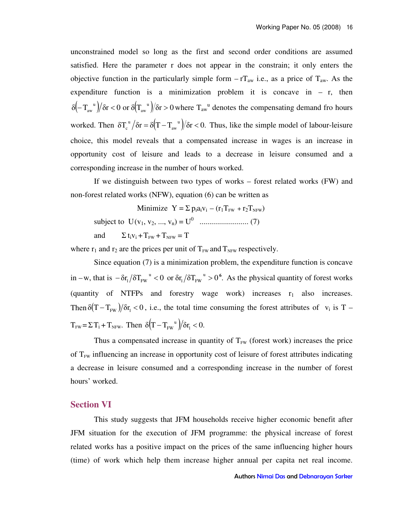unconstrained model so long as the first and second order conditions are assumed satisfied. Here the parameter r does not appear in the constrain; it only enters the objective function in the particularly simple form  $-rT_{aw}$  i.e., as a price of  $T_{aw}$ . As the expenditure function is a minimization problem it is concave in  $-$  r, then  $\delta(-T_{\rm aw}^{\quad u})/\delta r < 0$  or  $\delta(T_{\rm aw}^{\quad u})/\delta r > 0$ aw  $-\int_{-\infty}^{\infty} \int_{-\infty}^{\infty} \int_{-\infty}^{\infty} \delta$  or  $\delta(T_{\text{av}}^{\text{u}})$  and  $T_{\text{av}}^{\text{u}}$  denotes the compensating demand fro hours worked. Then  $\delta T_c^{\mu}/\delta r = \delta (T - T_{aw}^{\mu})/\delta r < 0$ .  $\int_{c}^{u}$   $\int \delta r = \delta (T - T_{aw}^{u}) / \delta r$  < 0. Thus, like the simple model of labour-leisure choice, this model reveals that a compensated increase in wages is an increase in opportunity cost of leisure and leads to a decrease in leisure consumed and a corresponding increase in the number of hours worked.

If we distinguish between two types of works – forest related works (FW) and non-forest related works (NFW), equation (6) can be written as

Minimize  $Y = \sum p_i a_i v_i - (r_1 T_{FW} + r_2 T_{NFW})$ subject to U(v1, v2, ..., vn) = U<sup>0</sup> ......................... (7) and  $\Sigma t_i v_i + T_{FW} + T_{NFW} = T$ 

where  $r_1$  and  $r_2$  are the prices per unit of  $T_{FW}$  and  $T_{NFW}$  respectively.

Since equation (7) is a minimization problem, the expenditure function is concave in –w, that is  $-\delta r_1 / \delta T_{FW}^{\mu} < 0$  or  $\delta r_1 / \delta T_{FW}^{\mu} > 0^6$ .  $1 / 0$  FW u  $1 / 0$  FW  $-\delta r_1/\delta T_{\text{FW}}^{\text{u}} < 0$  or  $\delta r_1/\delta T_{\text{FW}}^{\text{u}} > 0^6$ . As the physical quantity of forest works (quantity of NTFPs and forestry wage work) increases  $r_1$  also increases. Then  $\delta(T - T_{FW})/\delta r_1 < 0$ , i.e., the total time consuming the forest attributes of v<sub>i</sub> is T –  $T_{\text{FW}} = \Sigma T_i + T_{\text{NFW}}$ . Then  $\delta (T - T_{\text{FW}}^{\text{u}})/\delta r_i < 0$ .

Thus a compensated increase in quantity of  $T_{FW}$  (forest work) increases the price of  $T_{FW}$  influencing an increase in opportunity cost of leisure of forest attributes indicating a decrease in leisure consumed and a corresponding increase in the number of forest hours' worked.

#### **Section VI**

This study suggests that JFM households receive higher economic benefit after JFM situation for the execution of JFM programme: the physical increase of forest related works has a positive impact on the prices of the same influencing higher hours (time) of work which help them increase higher annual per capita net real income.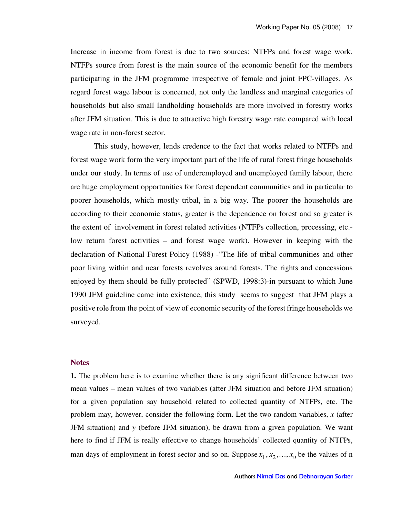Increase in income from forest is due to two sources: NTFPs and forest wage work. NTFPs source from forest is the main source of the economic benefit for the members participating in the JFM programme irrespective of female and joint FPC-villages. As regard forest wage labour is concerned, not only the landless and marginal categories of households but also small landholding households are more involved in forestry works after JFM situation. This is due to attractive high forestry wage rate compared with local wage rate in non-forest sector.

This study, however, lends credence to the fact that works related to NTFPs and forest wage work form the very important part of the life of rural forest fringe households under our study. In terms of use of underemployed and unemployed family labour, there are huge employment opportunities for forest dependent communities and in particular to poorer households, which mostly tribal, in a big way. The poorer the households are according to their economic status, greater is the dependence on forest and so greater is the extent of involvement in forest related activities (NTFPs collection, processing, etc. low return forest activities – and forest wage work). However in keeping with the declaration of National Forest Policy (1988) -"The life of tribal communities and other poor living within and near forests revolves around forests. The rights and concessions enjoyed by them should be fully protected" (SPWD, 1998:3)-in pursuant to which June 1990 JFM guideline came into existence, this study seems to suggest that JFM plays a positive role from the point of view of economic security of the forest fringe households we surveyed.

#### **Notes**

**1.** The problem here is to examine whether there is any significant difference between two mean values – mean values of two variables (after JFM situation and before JFM situation) for a given population say household related to collected quantity of NTFPs, etc. The problem may, however, consider the following form. Let the two random variables, *x* (after JFM situation) and *y* (before JFM situation), be drawn from a given population. We want here to find if JFM is really effective to change households' collected quantity of NTFPs, man days of employment in forest sector and so on. Suppose  $x_1, x_2, ..., x_n$  be the values of n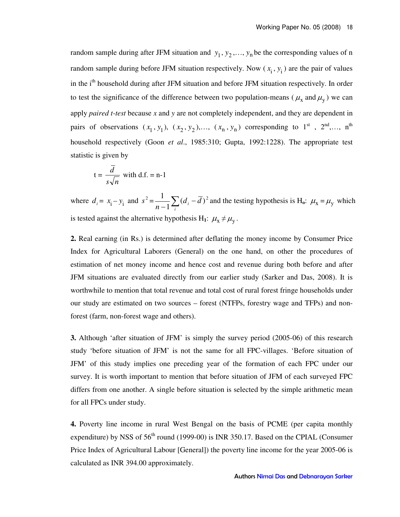random sample during after JFM situation and  $y_1, y_2, \ldots, y_n$  be the corresponding values of n random sample during before JFM situation respectively. Now  $(x_i, y_i)$  are the pair of values in the i<sup>th</sup> household during after JFM situation and before JFM situation respectively. In order to test the significance of the difference between two population-means ( $\mu_x$  and  $\mu_y$ ) we can apply *paired t-test* because *x* and *y* are not completely independent, and they are dependent in pairs of observations  $(x_1, y_1)$ ,  $(x_2, y_2)$ ,...,  $(x_n, y_n)$  corresponding to 1<sup>st</sup>, 2<sup>nd</sup>,..., n<sup>th</sup> household respectively (Goon *et al*., 1985:310; Gupta, 1992:1228). The appropriate test statistic is given by

$$
t = \frac{\overline{d}}{s\sqrt{n}} \text{ with d.f.} = n-1
$$

where  $d_i = x_i - y_i$  and  $s^2 = \frac{1}{n-1} \sum_i (d_i - \overline{d})^2$ 1  $\frac{1}{-1}\sum_{i}(d_i \frac{d}{dx} \sum_{i} (d_i - d)^2$  and the testing hypothesis is H<sub>o</sub>:  $\mu_x = \mu_y$  which is tested against the alternative hypothesis  $H_1$ :  $\mu_x \neq \mu_y$ .

**2.** Real earning (in Rs.) is determined after deflating the money income by Consumer Price Index for Agricultural Laborers (General) on the one hand, on other the procedures of estimation of net money income and hence cost and revenue during both before and after JFM situations are evaluated directly from our earlier study (Sarker and Das, 2008). It is worthwhile to mention that total revenue and total cost of rural forest fringe households under our study are estimated on two sources – forest (NTFPs, forestry wage and TFPs) and nonforest (farm, non-forest wage and others).

**3.** Although 'after situation of JFM' is simply the survey period (2005-06) of this research study 'before situation of JFM' is not the same for all FPC-villages. 'Before situation of JFM' of this study implies one preceding year of the formation of each FPC under our survey. It is worth important to mention that before situation of JFM of each surveyed FPC differs from one another. A single before situation is selected by the simple arithmetic mean for all FPCs under study.

**4.** Poverty line income in rural West Bengal on the basis of PCME (per capita monthly expenditure) by NSS of 56<sup>th</sup> round (1999-00) is INR 350.17. Based on the CPIAL (Consumer Price Index of Agricultural Labour [General]) the poverty line income for the year 2005-06 is calculated as INR 394.00 approximately.